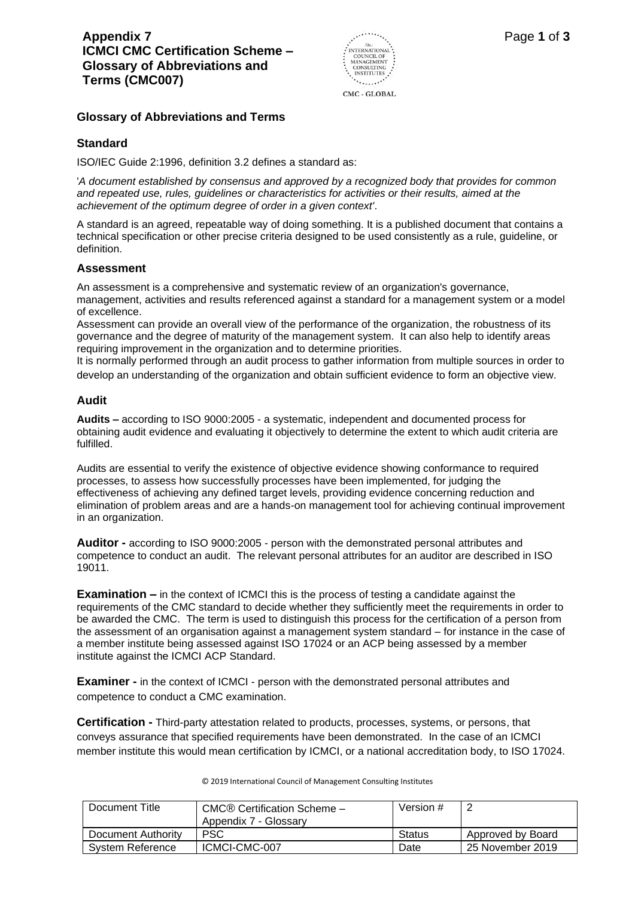

CMC - GLOBAL

### **Glossary of Abbreviations and Terms**

# **Standard**

ISO/IEC Guide 2:1996, definition 3.2 defines a standard as:

'*A document established by consensus and approved by a recognized body that provides for common and repeated use, rules, guidelines or characteristics for activities or their results, aimed at the achievement of the optimum degree of order in a given context'*.

A standard is an agreed, repeatable way of doing something. It is a published document that contains a technical specification or other precise criteria designed to be used consistently as a rule, guideline, or definition.

#### **Assessment**

An assessment is a comprehensive and systematic review of an organization's governance, management, activities and results referenced against a standard for a management system or a model of excellence.

Assessment can provide an overall view of the performance of the organization, the robustness of its governance and the degree of maturity of the management system. It can also help to identify areas requiring improvement in the organization and to determine priorities.

It is normally performed through an audit process to gather information from multiple sources in order to develop an understanding of the organization and obtain sufficient evidence to form an objective view.

# **Audit**

**Audits –** according to ISO 9000:2005 - a systematic, independent and documented process for obtaining audit evidence and evaluating it objectively to determine the extent to which audit criteria are fulfilled.

Audits are essential to verify the existence of objective evidence showing conformance to required processes, to assess how successfully processes have been implemented, for judging the effectiveness of achieving any defined target levels, providing evidence concerning reduction and elimination of problem areas and are a hands-on management tool for achieving continual improvement in an organization.

**Auditor -** according to ISO 9000:2005 - person with the demonstrated personal attributes and competence to conduct an audit. The relevant personal attributes for an auditor are described in ISO 19011.

**Examination –** in the context of ICMCI this is the process of testing a candidate against the requirements of the CMC standard to decide whether they sufficiently meet the requirements in order to be awarded the CMC. The term is used to distinguish this process for the certification of a person from the assessment of an organisation against a management system standard – for instance in the case of a member institute being assessed against ISO 17024 or an ACP being assessed by a member institute against the ICMCI ACP Standard.

**Examiner** - in the context of ICMCI - person with the demonstrated personal attributes and competence to conduct a CMC examination.

**Certification -** Third-party attestation related to products, processes, systems, or persons, that conveys assurance that specified requirements have been demonstrated. In the case of an ICMCI member institute this would mean certification by ICMCI, or a national accreditation body, to ISO 17024.

| Document Title     | CMC® Certification Scheme -<br>Appendix 7 - Glossary | Version # | ∠                 |
|--------------------|------------------------------------------------------|-----------|-------------------|
| Document Authority | <b>PSC</b>                                           | Status    | Approved by Board |
| System Reference   | ICMCI-CMC-007                                        | Date      | 25 November 2019  |

© 2019 International Council of Management Consulting Institutes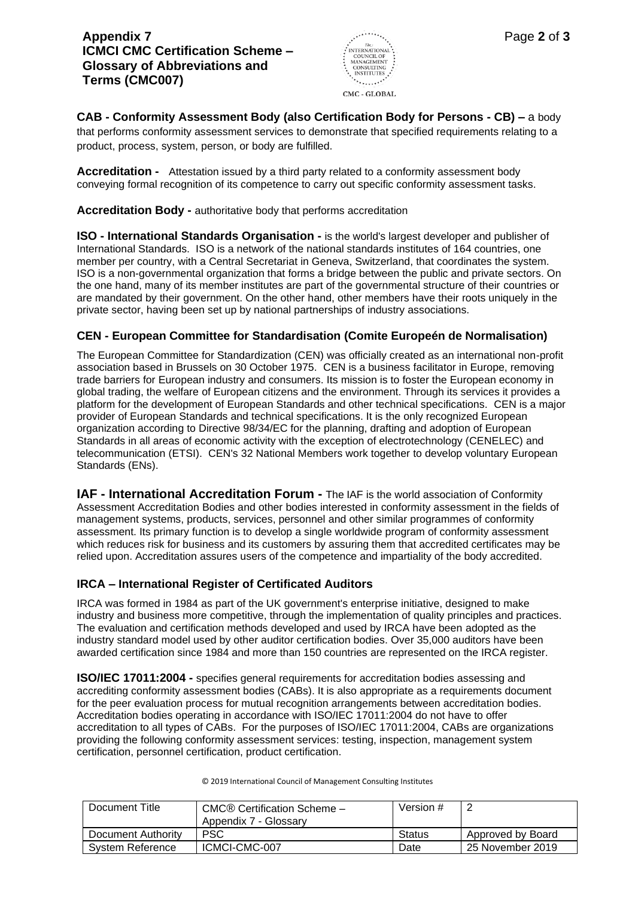

**CAB - Conformity Assessment Body (also Certification Body for Persons - CB) –** a body that performs conformity assessment services to demonstrate that specified requirements relating to a product, process, system, person, or body are fulfilled.

**Accreditation -** Attestation issued by a third party related to a conformity assessment body conveying formal recognition of its competence to carry out specific conformity assessment tasks.

**Accreditation Body -** authoritative body that performs accreditation

**ISO - International Standards Organisation -** is the world's largest developer and publisher of International Standards. ISO is a network of the national standards institutes of 164 countries, one member per country, with a Central Secretariat in Geneva, Switzerland, that coordinates the system. ISO is a non-governmental organization that forms a bridge between the public and private sectors. On the one hand, many of its member institutes are part of the governmental structure of their countries or are mandated by their government. On the other hand, other members have their roots uniquely in the private sector, having been set up by national partnerships of industry associations.

# **CEN - European Committee for Standardisation (Comite Europeén de Normalisation)**

The European Committee for Standardization (CEN) was officially created as an international non-profit association based in Brussels on 30 October 1975. CEN is a business facilitator in Europe, removing trade barriers for European industry and consumers. Its mission is to foster the European economy in global trading, the welfare of European citizens and the environment. Through its services it provides a platform for the development of European Standards and other technical specifications. CEN is a major provider of European Standards and technical specifications. It is the only recognized European organization according to Directive 98/34/EC for the planning, drafting and adoption of European Standards in all areas of economic activity with the exception of electrotechnology [\(CENELEC\)](http://www.cenelec.eu/) and telecommunication [\(ETSI\)](http://www.etsi.org/). CEN's 32 National Members work together to develop voluntary European Standards (ENs).

**IAF - International Accreditation Forum -** The IAF is the world association of Conformity Assessment Accreditation Bodies and other bodies interested in conformity assessment in the fields of management systems, products, services, personnel and other similar programmes of conformity assessment. Its primary function is to develop a single worldwide program of conformity assessment which reduces risk for business and its customers by assuring them that accredited certificates may be relied upon. Accreditation assures users of the competence and impartiality of the body accredited.

#### **IRCA – International Register of Certificated Auditors**

IRCA was formed in 1984 as part of the UK government's enterprise initiative, designed to make industry and business more competitive, through the implementation of quality principles and practices. The evaluation and certification methods developed and used by IRCA have been adopted as the industry standard model used by other auditor certification bodies. Over 35,000 auditors have been awarded certification since 1984 and more than 150 countries are represented on the IRCA register.

**ISO/IEC 17011:2004 -** specifies general requirements for accreditation bodies assessing and accrediting conformity assessment bodies (CABs). It is also appropriate as a requirements document for the peer evaluation process for mutual recognition arrangements between accreditation bodies. Accreditation bodies operating in accordance with ISO/IEC 17011:2004 do not have to offer accreditation to all types of CABs. For the purposes of ISO/IEC 17011:2004, CABs are organizations providing the following conformity assessment services: testing, inspection, management system certification, personnel certification, product certification.

| Document Title          | CMC® Certification Scheme -<br>Appendix 7 - Glossary | Version # | ∠                 |
|-------------------------|------------------------------------------------------|-----------|-------------------|
| Document Authority      | <b>PSC</b>                                           | Status    | Approved by Board |
| <b>System Reference</b> | ICMCI-CMC-007                                        | Date      | 25 November 2019  |

© 2019 International Council of Management Consulting Institutes